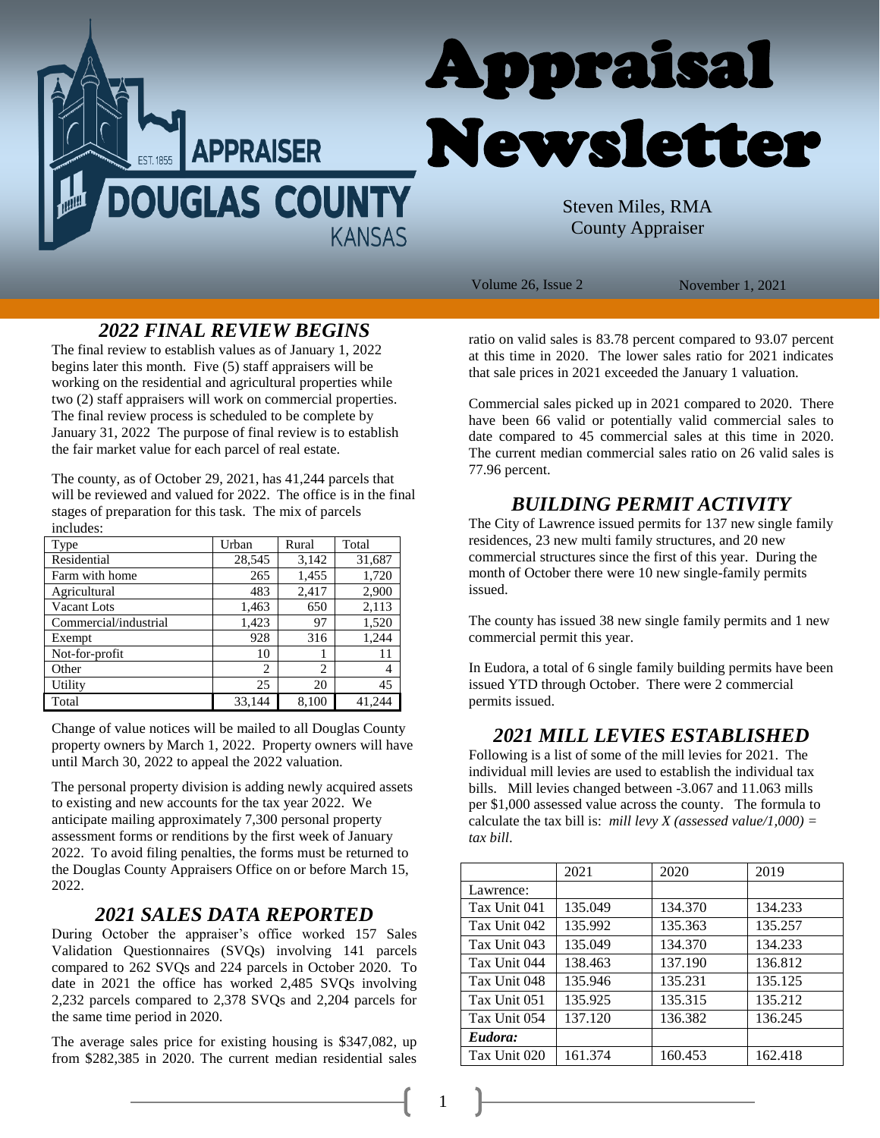

Volume 26, Issue 2 November 1, 2021

# *2022 FINAL REVIEW BEGINS*

The final review to establish values as of January 1, 2022 begins later this month. Five (5) staff appraisers will be working on the residential and agricultural properties while two (2) staff appraisers will work on commercial properties. The final review process is scheduled to be complete by January 31, 2022 The purpose of final review is to establish the fair market value for each parcel of real estate.

The county, as of October 29, 2021, has 41,244 parcels that will be reviewed and valued for 2022. The office is in the final stages of preparation for this task. The mix of parcels includes:

| Type                  | Urban  | Rural | Total  |
|-----------------------|--------|-------|--------|
| Residential           | 28,545 | 3,142 | 31,687 |
| Farm with home        | 265    | 1,455 | 1,720  |
| Agricultural          | 483    | 2,417 | 2,900  |
| Vacant Lots           | 1,463  | 650   | 2,113  |
| Commercial/industrial | 1,423  | 97    | 1,520  |
| Exempt                | 928    | 316   | 1,244  |
| Not-for-profit        | 10     |       | 11     |
| Other                 | 2      | 2     | 4      |
| Utility               | 25     | 20    | 45     |
| Total                 | 33.144 | 8.100 | 41.244 |

Change of value notices will be mailed to all Douglas County property owners by March 1, 2022. Property owners will have until March 30, 2022 to appeal the 2022 valuation.

The personal property division is adding newly acquired assets to existing and new accounts for the tax year 2022. We anticipate mailing approximately 7,300 personal property assessment forms or renditions by the first week of January 2022. To avoid filing penalties, the forms must be returned to the Douglas County Appraisers Office on or before March 15, 2022.

#### *2021 SALES DATA REPORTED*

During October the appraiser's office worked 157 Sales Validation Questionnaires (SVQs) involving 141 parcels compared to 262 SVQs and 224 parcels in October 2020. To date in 2021 the office has worked 2,485 SVQs involving 2,232 parcels compared to 2,378 SVQs and 2,204 parcels for the same time period in 2020.

The average sales price for existing housing is \$347,082, up from \$282,385 in 2020. The current median residential sales

ratio on valid sales is 83.78 percent compared to 93.07 percent at this time in 2020. The lower sales ratio for 2021 indicates that sale prices in 2021 exceeded the January 1 valuation.

Commercial sales picked up in 2021 compared to 2020. There have been 66 valid or potentially valid commercial sales to date compared to 45 commercial sales at this time in 2020. The current median commercial sales ratio on 26 valid sales is 77.96 percent.

# *BUILDING PERMIT ACTIVITY*

The City of Lawrence issued permits for 137 new single family residences, 23 new multi family structures, and 20 new commercial structures since the first of this year. During the month of October there were 10 new single-family permits issued.

The county has issued 38 new single family permits and 1 new commercial permit this year.

In Eudora, a total of 6 single family building permits have been issued YTD through October. There were 2 commercial permits issued.

## *2021 MILL LEVIES ESTABLISHED*

Following is a list of some of the mill levies for 2021. The individual mill levies are used to establish the individual tax bills. Mill levies changed between -3.067 and 11.063 mills per \$1,000 assessed value across the county. The formula to calculate the tax bill is: *mill levy X (assessed value/1,000) = tax bill*.

|              | 2021    | 2020    | 2019    |
|--------------|---------|---------|---------|
| Lawrence:    |         |         |         |
| Tax Unit 041 | 135.049 | 134.370 | 134.233 |
| Tax Unit 042 | 135.992 | 135.363 | 135.257 |
| Tax Unit 043 | 135.049 | 134.370 | 134.233 |
| Tax Unit 044 | 138.463 | 137.190 | 136.812 |
| Tax Unit 048 | 135.946 | 135.231 | 135.125 |
| Tax Unit 051 | 135.925 | 135.315 | 135.212 |
| Tax Unit 054 | 137.120 | 136.382 | 136.245 |
| Eudora:      |         |         |         |
| Tax Unit 020 | 161.374 | 160.453 | 162.418 |

1